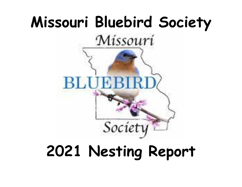

# **2021 Nesting Report**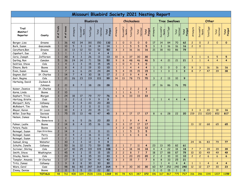| Missouri Bluebird Society 2021 Nesting Report |                |                                    |                                   |                |                     |                  |                  |                         |                |                     |                   |                          |                         |                |                            |                |                      |                          |                |                     |                |                  |                         |
|-----------------------------------------------|----------------|------------------------------------|-----------------------------------|----------------|---------------------|------------------|------------------|-------------------------|----------------|---------------------|-------------------|--------------------------|-------------------------|----------------|----------------------------|----------------|----------------------|--------------------------|----------------|---------------------|----------------|------------------|-------------------------|
|                                               |                |                                    |                                   |                |                     | <b>Bluebirds</b> |                  |                         |                |                     | <b>Chickadees</b> |                          |                         |                |                            |                | <b>Tree Swallows</b> |                          |                | Other               |                |                  |                         |
| Trail<br>Monitor/<br>Reporter                 | County         | Trails<br>t<br>$\ddot{\mathbf{r}}$ | boxes<br>$\overline{\sigma}$<br># | Attempts       | Successful<br>Nests | Total Eggs       | Total<br>Hatched | Total<br>Fledged        | Attempts       | Successful<br>Nests | <b>Total Eggs</b> | Total<br>Hatched         | Total<br>Fledged        | Attempts       | Successful<br><b>Nests</b> | Total Eggs     | Total<br>Hatched     | Total<br>Fledged         | Attempts       | Successful<br>Nests | Total Eggs     | Total<br>Hatched | Total<br>Fledged        |
| Berger, Lisa                                  | Greene         | $\mathbf{1}$                       | 36                                | 42             | 34                  | 181              | 150              | 132                     | $\mathbf{1}$   | $\mathbf 0$         | $\mathbf{O}$      | $\mathbf 0$              | $\mathbf 0$             | 17             | 14                         | 84             | 70                   | 62                       | $\overline{2}$ | $\overline{O}$      | $\overline{2}$ | $\mathbf{O}$     | $\mathbf{O}$            |
| Burk, Susan                                   | Gasconade      | $\mathbf{1}$                       | 10                                | 5              | $\mathsf{3}$        | 14               | 14               | 14                      | $\mathbf{1}$   | $\mathbf{1}$        | 5                 | $5\overline{)}$          | 5                       | $\overline{3}$ | $\overline{3}$             | 16             | 16                   | 16                       | $\overline{2}$ | $\Omega$            |                |                  |                         |
| Caruthers, Ben                                | Greene         | $\mathbf{1}$                       | 31                                | 13             | 12                  | 53               | 52               | 50                      | $\mathbf{3}$   | $\overline{3}$      | 16                | 16                       | 16                      | 21             | 18                         | 93             | 86                   | 79                       |                |                     |                |                  |                         |
| Capehart, Sue                                 | Cole           | $\mathbf{1}$                       | $\mathbf{1}$                      | $\mathbf{1}$   | $\mathbf{1}$        | $\overline{4}$   | $\overline{4}$   | $\overline{\mathbf{4}}$ |                |                     |                   |                          |                         |                |                            |                |                      |                          |                |                     |                |                  |                         |
| Corio, Joseph                                 | Jefferson      | $\mathbf{1}$                       | 30                                | 8              | $\overline{3}$      | 26               | 13               | 13                      | 10             | 6                   | 37                | 30                       | 30                      |                |                            |                |                      |                          | 3              | $\mathbf{1}$        | 6              | 5                | 5                       |
| Darling, Ron                                  | Camden         | 5                                  | 36                                | 24             | 14                  | 71               | 58               | 50                      | 9              | 8                   | 48                | 46                       | 46                      | 5              | $\overline{4}$             | 21             | 21                   | 21                       | $\mathbf{1}$   | $\mathbf{1}$        | $\overline{4}$ | 4                | $\overline{\mathbf{4}}$ |
| DeVries, Steve                                | Cole           | $\mathbf{1}$                       | $\overline{4}$                    | $\overline{3}$ | 3                   | 15               | 15               | 15                      | $\mathbf{1}$   | $\mathbf{O}$        | $\overline{4}$    | 4                        | $\mathbf{o}$            |                |                            |                |                      |                          |                |                     |                |                  |                         |
| Elmore, Barb                                  | Boone          | $\mathbf{1}$                       | 8                                 | $\overline{4}$ | $\overline{c}$      | 19               | 10               | 10                      | $\mathbf{1}$   | $\mathbf{1}$        | $\overline{4}$    | 4                        | 4                       | 1              | $\mathbf{O}$               | $\Omega$       | $\mathbf{0}$         | $\mathbf{o}$             | 9              | 3                   | 16             | 16               | <b>16</b>               |
| Even, Susan                                   | Boone          | $\mathbf{1}$                       | $\overline{7}$                    | 6              | 6                   | 24               | 24               | 24                      | 5              | $\overline{4}$      | 15                | 15                       | 15                      | $\mathbf{1}$   | $\mathbf{1}$               | 3              | 3                    | $\mathbf{3}$             | 8              | $\overline{7}$      | 47             | 39               | 38                      |
| Gagnon, Gail                                  | St. Charles    | $\mathbf{1}$                       | 14                                | $\overline{7}$ | $\overline{4}$      | 30               | 18               | 17                      | $\overline{c}$ | $\overline{c}$      | 9                 | $\overline{4}$           | $\overline{\mathbf{4}}$ |                |                            |                |                      |                          |                |                     |                |                  |                         |
| Garr, Regina                                  | Cole           | $\mathbf{1}$                       | 21                                | 26             | 23                  | 119              | 103              | 99                      | 14             | 13                  | 78                | 73                       | 70                      | $\mathbf{3}$   | $\overline{2}$             | 13             | 10                   | 9                        |                |                     |                |                  |                         |
| Hartwing, David                               | Jackson &      |                                    |                                   |                |                     |                  |                  |                         |                |                     |                   |                          |                         |                |                            |                |                      |                          |                |                     |                |                  |                         |
|                                               | Johnson        | $\overline{c}$                     | 21                                | 8              | 7                   | 38               | 28               | 28                      |                |                     |                   |                          |                         | 17             | 16                         | 86             | 76                   | 70                       |                |                     |                |                  |                         |
| Kaiser, Jeanice                               | St. Charles    | $\mathbf{1}$                       | $\mathbf{1}$                      |                |                     |                  |                  |                         | $\mathbf{1}$   | $\mathbf{1}$        | $\overline{2}$    | $\overline{c}$           | $\overline{2}$          |                |                            |                |                      |                          |                |                     |                |                  |                         |
| Karns, Linda                                  | Boone          | $\overline{c}$                     | 10                                |                |                     |                  |                  |                         | $\mathbf{1}$   | $\mathbf{1}$        | 6                 | $\overline{\phantom{a}}$ | $\ddot{\phantom{0}}$    |                |                            |                |                      |                          |                |                     |                |                  |                         |
| Kephart, Tricia                               | Morgan         | 3                                  | 24                                | 18             | 17                  | 79               | 77               | 76                      | 6              | 6                   | 33                | 33                       | 33                      |                |                            |                |                      |                          |                |                     |                |                  |                         |
| Hertzog, Kristie                              | Cass           | $\mathbf{1}$                       | $\mathsf{3}$                      | $\overline{c}$ | $\overline{c}$      | 9                | 9                | 9                       |                |                     |                   |                          |                         | $\mathbf{1}$   | $\mathbf{1}$               | $\overline{4}$ | $\overline{4}$       | $\overline{4}$           |                |                     |                |                  |                         |
| Marquart, Katy                                | Callaway       | $\mathbf{1}$                       |                                   | $\overline{4}$ | $\overline{4}$      | 20               | 20               | 20                      |                |                     |                   |                          |                         |                |                            |                |                      |                          |                |                     |                |                  |                         |
| McRobert, Tim                                 | Saline         | $\mathbf{1}$                       | 18                                | $\overline{c}$ | $\overline{c}$      | 11               | 11               | 11                      |                |                     |                   |                          |                         |                |                            |                |                      |                          |                |                     |                |                  |                         |
| Meyer, Karen                                  | St. Louis      | $\mathbf{1}$                       | 10                                | 4              | $\mathbf{3}$        | 20               | 15               | 11                      |                |                     |                   |                          |                         |                |                            |                |                      |                          | $\mathbf{3}$   | 3                   | 20             | 19               | 16                      |
| Miller, Ivan Ray                              | Daviess        | $\mathbf{1}$                       | 75                                | 15             | 13                  | 48               | 47               | 45                      | $\mathbf{3}$   | 3                   | 17                | 17                       | 17                      | 8              | 6                          | 28             | 22                   | 20                       | 219            | 211                 | 1020           | 852              | 817                     |
| Nelson, James                                 | Penny &        |                                    |                                   |                |                     |                  |                  |                         |                |                     |                   |                          |                         |                |                            |                |                      |                          |                |                     |                |                  |                         |
|                                               | Ste. Genevieve | $\mathbf{1}$                       | 6                                 | 6              | 5                   | 26               | 20               | 20                      | $\overline{c}$ | $\mathbf{1}$        | 9                 | 4                        | $\overline{4}$          |                |                            |                |                      |                          |                |                     |                |                  |                         |
| Palmer, Leslie                                | Boone          | $\overline{c}$                     | 14                                | 8              | $\overline{4}$      | 35               | 16               | 16                      | $\mathbf{3}$   | $\mathbf{3}$        | 17                | 17                       | 17                      |                |                            |                |                      |                          | 13             | 12                  | 68             | 65               | 65                      |
| Peters, Paula                                 | Boone          | $\mathbf{1}$                       | 6                                 |                |                     |                  |                  |                         | $\overline{3}$ | $\overline{c}$      | 18                | 13                       | 12                      |                |                            |                |                      |                          |                |                     |                |                  |                         |
| Reinagel, Susan                               | Cape Girardeau | $\overline{c}$                     | 14                                | 9              | $\overline{c}$      | 11               | 11               | 11                      | $\mathbf{1}$   | $\mathbf{1}$        | 5                 | 5                        | 5                       |                |                            |                |                      |                          |                |                     |                |                  |                         |
| Reinagel, Susan                               | Perry          | $\overline{c}$                     | 11                                | $\overline{4}$ | $\overline{c}$      | 16               | 11               | 11                      | $\bullet$      | $\mathbf{1}$        | 6                 | 6                        | $\mathbf 6$             |                |                            |                |                      |                          |                |                     |                |                  |                         |
| Reinagel, Susan                               | Scott          | $\mathbf{1}$                       | $\overline{2}$                    | $\overline{3}$ | $\overline{c}$      | 11               | 6                | $\overline{4}$          |                |                     |                   |                          |                         |                |                            |                |                      |                          |                |                     |                |                  |                         |
| Samuel, Greg                                  | Webster        | $\mathbf{1}$                       | 30                                | $\overline{3}$ | $\overline{3}$      | 12               | 9                | 9                       |                |                     |                   |                          |                         |                |                            |                |                      |                          | 24             | 16                  | 83             | 79               | 77                      |
| Schulte, Janelle                              | Callaway       | $\mathbf{1}$                       | 50                                | 16             | 12                  | $\overline{73}$  | 59               | $\overline{55}$         | $\overline{c}$ | $\mathbf{1}$        | $\overline{7}$    | 11                       | $\overline{\mathbf{4}}$ | 23             | 13                         | 95             | 82                   | 61                       |                |                     |                |                  |                         |
| Scrivner, Shirley                             | Cole           | $\overline{c}$                     | 67                                | 40             | 25                  | 119              | 109              | 108                     | 3 <sup>7</sup> | 3 <sup>7</sup>      | 18                | 18                       | 18                      | $\overline{4}$ | $\overline{4}$             | 22             | 18                   | $\overline{\mathbf{18}}$ | 7 <sup>7</sup> | $\overline{7}$      | 39             | 39               | 39 <sup>°</sup>         |
| Smith, Steve                                  | Washington     | $\mathbf{1}$                       | 45                                | $\overline{4}$ | $\mathsf{3}$        | 15               | 15               | 15                      | $\overline{2}$ | $\overline{c}$      | 8                 | $\overline{7}$           | $\overline{7}$          | 18             | 17                         | 88             | 87                   | 79                       | 10             | 10                  | 49             | 49               | 49                      |
| Stucky, Norm                                  | Cole           | $\mathbf{1}$                       | 20                                | 9              | $\bf 8$             | 35               | 33               | 33                      | $\mathbf{3}$   | $\mathbf{3}$        | 20                | 20                       | 20                      | $\mathbf{2}$   | $\overline{2}$             | $10\,$         | 10                   | 10                       | $\overline{c}$ | $\overline{2}$      | 6 <sup>6</sup> | $6\phantom{.}6$  | $\epsilon$              |
| Templer, Amanda                               | St Charles     | $\mathbf{1}$                       | $17\,$                            | 15             | $12\,$              | 54               | 43               | 43                      | 3 <sup>1</sup> | $\mathbf{3}$        | 15                | $\overline{7}$           | $\overline{7}$          | 8              | 8                          | 33             | 25                   | 21                       |                |                     |                |                  |                         |
| Tritz, James                                  | Callaway       | $\mathbf{1}$                       | 9                                 | 8              | 8                   | 30 <sup>°</sup>  | 30               | 30                      |                |                     |                   |                          |                         | $\mathbf{1}$   | $\mathbf{1}$               | $\overline{4}$ | $\overline{4}$       | $\overline{4}$           | $\mathbf{1}$   | $\mathbf{1}$        | $\overline{4}$ | $\overline{4}$   | $\overline{\mathbf{4}}$ |
| Ware, Carol                                   | Cass           | $\mathbf{1}$                       | 98                                | 86             | 80                  | 287              | 264              | 264                     | 9              | 9                   | 30                | 30                       | 30                      | 60             | 57                         | 252            | 240                  | 240                      | 12             | 12                  | 27             | 30               | 23                      |
| Zimmy, Denise                                 | Boone          | $\overline{2}$                     | $11\,$                            | 5              | 5                   | 23               | 22               | 22                      |                |                     |                   |                          |                         | $\mathbf{3}$   | $\mathsf{O}$               | 15             | $\overline{1}$       | $\mathbf{0}$             |                |                     |                |                  |                         |
|                                               | <b>TOTALS</b>  | 48                                 | 761                               | 408            | 324                 | 1528             | 1316             | 1269                    | 90             | 78                  | 421               | 387                      | 372                     | 196            | 167                        | 867            | 775                  | 717                      | 316            | 286                 | <b>1391</b>    | 1207             | <b>1159</b>             |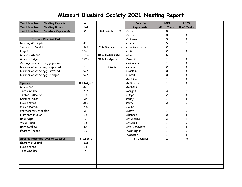| <b>Total Number of Nesting Reports</b>      | 48                      |                  | <b>Counties</b>           | 2021           | 2020                |  |
|---------------------------------------------|-------------------------|------------------|---------------------------|----------------|---------------------|--|
| <b>Total Number of Nesting Boxes</b>        | 761                     |                  | Represented               | # of Trails    | # of Trails         |  |
| <b>Total Number of Counties Represented</b> | 23                      | 114 Possible 20% | <b>Boone</b>              | 8              | 6                   |  |
|                                             |                         |                  | Butler                    | 0              | 1                   |  |
| Eastern Bluebird Data                       |                         |                  | Callaway                  | 3              | $\mathbf{1}$        |  |
| Nesting Attempts                            | 408                     |                  | Camden                    | 5              | 5                   |  |
| Successful Nests                            | 324                     | 79% Success rate | Cape Girardeau            | $\overline{c}$ | 0                   |  |
| Eggs Laid                                   | 1,528                   |                  | $\mathcal{C}\mathtt{ass}$ | $\overline{c}$ | $\mathbf{1}$        |  |
| Chicks Hatched                              | 1,316                   | 86% Hatch rate   | Cole                      | 6              | 8                   |  |
| Chicks Fledged                              | 1,269                   | 96% Fledged rate | Daviess                   | $\mathbf{1}$   | $\mathbf{1}$        |  |
| Average number of eggs per nest             |                         |                  | Gasconade                 | $\mathbf{1}$   | $\mathbf{1}$        |  |
| Number of white eggs reported               | 10                      | .0067%           | Greene                    | $\overline{c}$ | $\mathbf{1}$        |  |
| Number of white eggs hatched                | N/A                     |                  | Franklin                  | 0              | $\mathbf{1}$        |  |
| Number of white eggs fledged                | N/A                     |                  | Howell                    | 0              | $\mathbf{1}$        |  |
|                                             |                         |                  | Jackson                   | $\mathbf{1}$   | $\mathbf{1}$        |  |
| <b>Species</b>                              | # Fledged               |                  | Jefferson                 | $\mathbf{1}$   | $\mathbf{1}$        |  |
| Chickadee                                   | 372                     |                  | Johnson                   | $\mathbf{1}$   | $\overline{c}$      |  |
| Tree Swallow                                | 717                     |                  | Morgan                    | 3              | 3                   |  |
| Tufted Titmouse                             | 11                      |                  | Osage                     | $\overline{c}$ | $\mathbf{1}$        |  |
| Carolina Wren                               | 26                      |                  | Penny                     | $\mathbf{1}$   | $\mathbf{1}$        |  |
| House Wren                                  | 263                     |                  | Perry                     | $\overline{c}$ | $\mathsf{O}$        |  |
| Purple Martin                               | 710                     |                  | Saline                    | $\mathbf{1}$   | $\Omega$            |  |
| Prothonotary Warbler                        | 24                      |                  | Scott                     | $\mathbf{1}$   | $\mathsf{O}\xspace$ |  |
| Northern Flicker                            | 16                      |                  | Shannon                   | 0              | $\mathbf{1}$        |  |
| <b>Bald Eagle</b>                           | $\overline{c}$          |                  | St Charles                | 3              | 4                   |  |
| <b>Wood Duck</b>                            | 15                      |                  | St Louis                  | $\mathbf{1}$   | $\overline{c}$      |  |
| <b>Barn Swallow</b>                         | 68                      |                  | Ste. Genevieve            | $\mathbf{1}$   | $\mathbf{1}$        |  |
| Eastern Phoebe                              | 10                      |                  | Washington                | $\mathbf{1}$   | $\mathbf 0$         |  |
|                                             |                         |                  | Webster                   | $\mathbf{1}$   | $\mathbf{1}$        |  |
| Species Reported O/S of Missouri            | 2 Reports               |                  | 23 Counties               | 51             | 45                  |  |
| Eastern Bluebird                            | 521                     |                  |                           |                |                     |  |
| House Wren                                  | 12                      |                  |                           |                |                     |  |
| Tree Swallow                                | $\overline{\mathbf{4}}$ |                  |                           |                |                     |  |
|                                             |                         |                  |                           |                |                     |  |
|                                             |                         |                  |                           |                |                     |  |
|                                             |                         |                  |                           |                |                     |  |
|                                             |                         |                  |                           |                |                     |  |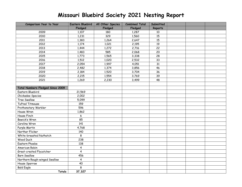| Comparison Year to Year          | <b>Eastern Bluebird</b> | All Other Species | <b>Combined Total</b> | Submitted       |  |  |
|----------------------------------|-------------------------|-------------------|-----------------------|-----------------|--|--|
|                                  | Fledged                 | Fledged           | Fledged               | Reports         |  |  |
| 2009                             | 1,107                   | 180               | 1,287                 | 10              |  |  |
| 2010                             | 1,231                   | 329               | 1,560                 | 15              |  |  |
| 2011                             | 1,383                   | 1,264             | 2,647                 | 15              |  |  |
| 2012                             | 1,174                   | 1,021             | 2,195                 | 19              |  |  |
| 2013                             | 1,444                   | 1,272             | 2,716                 | 22              |  |  |
| 2014                             | 1,483                   | 585               | 2,068                 | $\overline{20}$ |  |  |
| 2015                             | 1,773                   | 1,565             | 3,338                 | 28              |  |  |
| 2016                             | 1,512                   | 1,020             | 2,532                 | 33              |  |  |
| 2017                             | 2,054                   | 1,997             | 4,051                 | 31              |  |  |
| 2018                             | 2,482                   | 1,374             | 3,856                 | 46              |  |  |
| 2019                             | 2,184                   | 1,520             | 3,704                 | 36              |  |  |
| 2020                             | 2,215                   | 1,554             | 3,769                 | 39              |  |  |
| 2021                             | 1,269                   | 2,230             | 3,499                 | 48              |  |  |
|                                  |                         |                   |                       |                 |  |  |
| Total Numbers Fledged Since 2009 |                         |                   |                       |                 |  |  |
| Eastern Bluebird                 | 21,569                  |                   |                       |                 |  |  |
| Chickadee Species                | 2,002                   |                   |                       |                 |  |  |
| Tree Swallow                     | 5,099                   |                   |                       |                 |  |  |
| <b>Tufted Titmouse</b>           | 159                     |                   |                       |                 |  |  |
| Prothonotary Warbler             | 596                     |                   |                       |                 |  |  |
| House Wren                       | 1,862                   |                   |                       |                 |  |  |
| House Finch                      | 6                       |                   |                       |                 |  |  |
| Bewick's Wren                    | 85                      |                   |                       |                 |  |  |
| Carolina Wren                    | 141                     |                   |                       |                 |  |  |
| Purple Martin                    | 4,768                   |                   |                       |                 |  |  |
| Norther Flicker                  | 140                     |                   |                       |                 |  |  |
| White-breasted Nuthatch          | 8                       |                   |                       |                 |  |  |
| <b>Wood Duck</b>                 | 238                     |                   |                       |                 |  |  |
| Eastern Phoebe                   | 138                     |                   |                       |                 |  |  |
| American Robin                   | $\overline{\mathbf{4}}$ |                   |                       |                 |  |  |
| Great-crested Flycatcher         | $\overline{\mathbf{4}}$ |                   |                       |                 |  |  |
| <b>Barn Swallow</b>              | 456                     |                   |                       |                 |  |  |
| Northern Rough-winged Swallow    | $\overline{\mathbf{4}}$ |                   |                       |                 |  |  |
| House Sparrow                    | 40                      |                   |                       |                 |  |  |
| <b>Bald Eagle</b>                | 8                       |                   |                       |                 |  |  |
| <b>Totals</b>                    | 37,327                  |                   |                       |                 |  |  |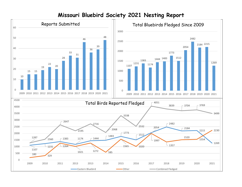